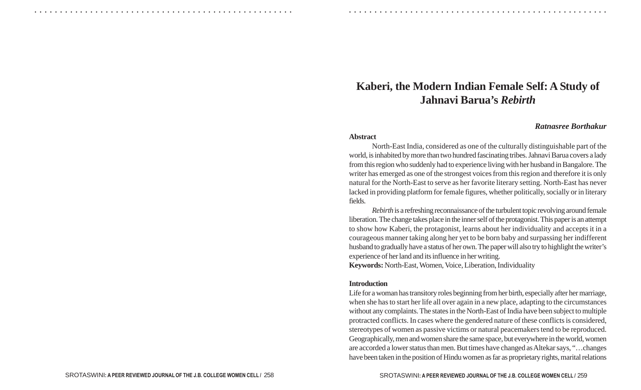# **Kaberi, the Modern Indian Female Self: A Study of Jahnavi Barua's** *Rebirth*

## *Ratnasree Borthakur*

#### **Abstract**

○ ○ ○ ○ ○ ○ ○ ○ ○ ○ ○ ○ ○ ○ ○ ○ ○ ○ ○ ○ ○ ○ ○ ○ ○ ○ ○ ○ ○ ○ ○ ○ ○ ○ ○ ○ ○ ○ ○ ○ ○ ○ ○ ○ ○ ○ ○ ○ ○ ○ ○ ○ ○ ○ ○ ○ ○ ○ ○ ○ ○ ○ ○ ○ ○ ○ ○ ○ ○ ○ ○ ○ ○ ○ ○ ○ ○ ○ ○ ○ ○ ○ ○ ○ ○ ○ ○ ○ ○ ○ ○ ○ ○ ○ ○ ○ ○ ○ ○ ○ ○ ○

North-East India, considered as one of the culturally distinguishable part of the world, is inhabited by more than two hundred fascinating tribes. Jahnavi Barua covers a lady from this region who suddenly had to experience living with her husband in Bangalore. The writer has emerged as one of the strongest voices from this region and therefore it is only natural for the North-East to serve as her favorite literary setting. North-East has never lacked in providing platform for female figures, whether politically, socially or in literary fields.

*Rebirth* is a refreshing reconnaissance of the turbulent topic revolving around female liberation. The change takes place in the inner self of the protagonist. This paper is an attempt to show how Kaberi, the protagonist, learns about her individuality and accepts it in a courageous manner taking along her yet to be born baby and surpassing her indifferent husband to gradually have a status of her own. The paper will also try to highlight the writer's experience of her land and its influence in her writing.

**Keywords:** North-East, Women, Voice, Liberation, Individuality

#### **Introduction**

Life for a woman has transitory roles beginning from her birth, especially after her marriage, when she has to start her life all over again in a new place, adapting to the circumstances without any complaints. The states in the North-East of India have been subject to multiple protracted conflicts. In cases where the gendered nature of these conflicts is considered, stereotypes of women as passive victims or natural peacemakers tend to be reproduced. Geographically, men and women share the same space, but everywhere in the world, women are accorded a lower status than men. But times have changed as Altekar says, "…changes have been taken in the position of Hindu women as far as proprietary rights, marital relations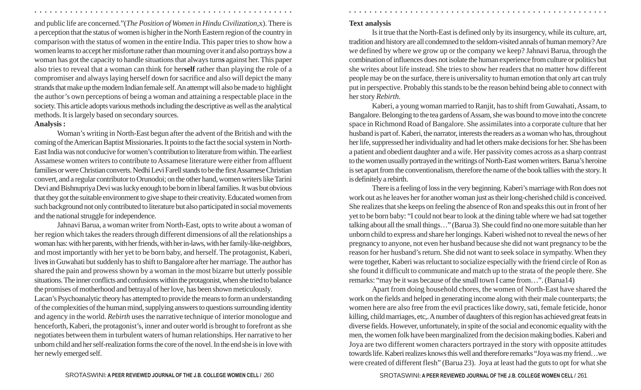and public life are concerned."(*The Position of Women in Hindu Civilization,*x). There is a perception that the status of women is higher in the North Eastern region of the country in comparison with the status of women in the entire India. This paper tries to show how a women learns to accept her misfortune rather than mourning over it and also portrays how a woman has got the capacity to handle situations that always turn**<sup>s</sup>** against her. This paper also tries to reveal that a woman can think for her**self** rather than playing the role of a compromiser and always laying herself down for sacrifice and also will depict the many strands that make up the modern Indian female self. An attempt will also be made to highlight the author's own perceptions of being a woman and attaining a respectable place in the society. This article adopts various methods including the descriptive as well as the analytical methods. It is largely based on secondary sources. **Analysis :**

○ ○ ○ ○ ○ ○ ○ ○ ○ ○ ○ ○ ○ ○ ○ ○ ○ ○ ○ ○ ○ ○ ○ ○ ○ ○ ○ ○ ○ ○ ○ ○ ○ ○ ○ ○ ○ ○ ○ ○ ○ ○ ○ ○ ○ ○ ○ ○ ○ ○ ○ ○ ○ ○ ○ ○ ○ ○ ○ ○ ○ ○ ○ ○ ○ ○ ○ ○ ○ ○ ○ ○ ○ ○ ○ ○ ○ ○ ○ ○ ○ ○ ○ ○ ○ ○ ○ ○ ○ ○ ○ ○ ○ ○ ○ ○ ○ ○ ○ ○ ○ ○

# Woman's writing in North-East begun after the advent of the British and with the coming of the American Baptist Missionaries. It points to the fact the social system in North-East India was not conducive for women's contribution to literature from within. The earliest Assamese women writers to contribute to Assamese literature were either from affluent families or were Christian converts. Nedhi Levi Farell stands to be the first Assamese Christian convert, and a regular contributor to Orunodoi; on the other hand, women writers like Tarini Devi and Bishnupriya Devi was lucky enough to be born in liberal families. It was but obvious that they got the suitable environment to give shape to their creativity. Educated women from such background not only contributed to literature but also participated in social movements and the national struggle for independence.

Jahnavi Barua, a woman writer from North-East, opts to write about a woman of her region which takes the readers through different dimensions of all the relationships a woman has: with her parents, with her friends, with her in-laws, with her family-like-neighbors, and most importantly with her yet to be born baby, and herself. The protagonist, Kaberi, live**s** in Guwahati but suddenly has to shift to Bangalore after her marriage. The author has shared the pain and prowess shown by a woman in the most bizarre but utterly possible situations. The inner conflicts and confusions within the protagonist, when she tried to balance the promises of motherhood and betrayal of her love, has been shown meticulously.

Lacan's Psychoanalytic theory has attempted to provide the means to form an understanding of the complexities of the human mind, supplying answers to questions surrounding identity and agency in the world. *Rebirth* uses the narrative technique of interior monologue and henceforth, Kaberi, the protagonist's, inner and outer world is brought to forefront as she negotiates between them in turbulent waters of human relationships. Her narrative to her unborn child and her self-realization forms the core of the novel. In the end she is in love with her newly emerged self.

# **Text analysis**

Is it true that the North-East is defined only by its insurgency, while its culture, art, tradition and history are all condemned to the seldom-visited annals of human memory? Are we defined by where we grow up or the company we keep? Jahnavi Barua, through the combination of influences does not isolate the human experience from culture or politics but she writes about life instead. She tries to show her readers that no matter how different people may be on the surface, there is universality to human emotion that only art can truly put in perspective. Probably this stands to be the reason behind being able to connect with her story *Rebirth*.

Kaberi, a young woman married to Ranjit, has to shift from Guwahati, Assam, to Bangalore. Belonging to the tea gardens of Assam, she was bound to move into the concrete space in Richmond Road of Bangalore. She assimilates into a corporate culture that her husband is part of. Kaberi, the narrator, interests the readers as a woman who has, throughout her life, suppressed her individuality and had let others make decisions for her. She has been a patient and obedient daughter and a wife. Her passivity comes across as a sharp contrast to the women usually portrayed in the writings of North-East women writers. Barua's heroine is set apart from the conventionalism, therefore the name of the book tallies with the story. It is definitely a rebirth.

There is a feeling of loss in the very beginning. Kaberi's marriage with Ron does not work out as he leaves her for another woman just as their long-cherished child is conceived. She realizes that she keeps on feeling the absence of Ron and speaks this out in front of her yet to be born baby: "I could not bear to look at the dining table where we had sat together talking about all the small things…" (Barua 3). She could find no one more suitable than her unborn child to express and share her longings. Kaberi wished not to reveal the news of her pregnancy to anyone, not even her husband because she did not want pregnancy to be the reason for her husband's return. She did not want to seek solace in sympathy. When they were together, Kaberi was reluctant to socialize especially with the friend circle of Ron as she found it difficult to communicate and match up to the strata of the people there. She remarks: "may be it was because of the small town I came from…". (Barua14)

Apart from doing household chores, the women of North-East have shared the work on the fields and helped in generating income along with their male counterparts; the women here are also free from the evil practices like dowry, sati, female feticide, honor killing, child marriages, etc,. A number of daughters of this region has achieved great feats in diverse fields. However, unfortunately, in spite of the social and economic equality with the men, the women folk have been marginalized from the decision making bodies. Kaberi and Joya are two different women characters portrayed in the story with opposite attitudes towards life. Kaberi realizes knows this well and therefore remarks "Joya was my friend…we were created of different flesh" (Barua 23). Joya at least had the guts to opt for what she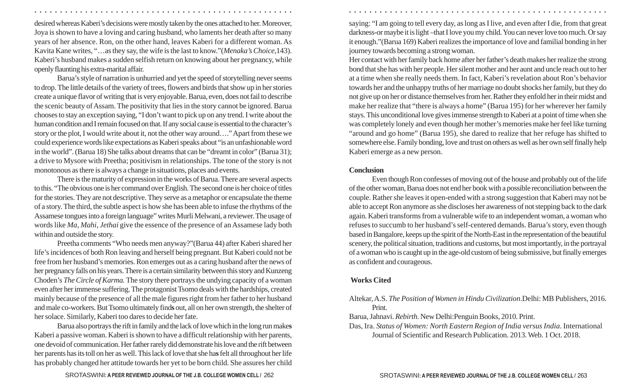desired whereas Kaberi's decisions were mostly taken by the ones attached to her. Moreover, Joya is shown to have a loving and caring husband, who laments her death after so many years of her absence. Ron, on the other hand, leaves Kaberi for a different woman. As Kavita Kane writes, "…as they say, the wife is the last to know."(*Menaka's Choice*,143). Kaberi's husband makes a sudden selfish return on knowing about her pregnancy, while openly flaunting his extra-marital affair.

Barua's style of narration is unhurried and yet the speed of storytelling never seems to drop. The little details of the variety of trees, flowers and birds that show up in her stories create a unique flavor of writing that is very enjoyable. Barua, even, does not fail to describe the scenic beauty of Assam. The positivity that lies in the story cannot be ignored. Barua chooses to stay an exception saying, "I don't want to pick up on any trend. I write about the human condition and I remain focused on that. If any social cause is essential to the character's story or the plot, I would write about it, not the other way around…." Apart from these we could experience words like expectations as Kaberi speaks about "is an unfashionable word in the world". (Barua 18) She talks about dreams that can be "dreamt in color" (Barua 31); a drive to Mysore with Preetha; positivism in relationships. The tone of the story is not monotonous as there is always a change in situations, places and events.

There is the maturity of expression in the works of Barua. There are several aspects to this. "The obvious one is her command over English. The second one is her choice of titles for the stories. They are not descriptive. They serve as a metaphor or encapsulate the theme of a story. The third, the subtle aspect is how she has been able to infuse the rhythms of the Assamese tongues into a foreign language" writes Murli Melwani, a reviewer. The usage of words like *Ma*, *Mahi*, *Jethai* give the essence of the presence of an Assamese lady both within and outside the story.

Preetha comments "Who needs men anyway?"(Barua 44) after Kaberi shared her life's incidences of both Ron leaving and herself being pregnant. But Kaberi could not be free from her husband's memories. Ron emerges out as a caring husband after the news of her pregnancy falls on his years. There is a certain similarity between this story and Kunzeng Choden's *The Circle of Karma.* The story there portrays the undying capacity of a woman even after her immense suffering. The protagonist Tsomo deals with the hardships, created mainly because of the presence of all the male figures right from her father to her husband and male co-workers. But Tsomo ultimately find**s** out, all on her own strength, the shelter of her solace. Similarly, Kaberi too dares to decide her fate.

Barua also portrays the rift in family and the lack of love which in the long run make**<sup>s</sup>** Kaberi a passive woman. Kaberi is shown to have a difficult relationship with her parents, one devoid of communication. Her father rarely did demonstrate his love and the rift between her parents has its toll on her as well. This lack of love that she ha**s** felt all throughout her life has probably changed her attitude towards her yet to be born child. She assures her child saying: "I am going to tell every day, as long as I live, and even after I die, from that great darkness-or maybe it is light –that I love you my child. You can never love too much. Or say it enough."(Barua 169) Kaberi realizes the importance of love and familial bonding in her journey towards becoming a strong woman.

Her contact with her family back home after her father's death makes her realize the strong bond that she has with her people. Her silent mother and her aunt and uncle reach out to her at a time when she really needs them. In fact, Kaberi's revelation about Ron's behavior towards her and the unhappy truths of her marriage no doubt shocks her family, but they do not give up on her or distance themselves from her. Rather they enfold her in their midst and make her realize that "there is always a home" (Barua 195) for her wherever her family stays. This unconditional love gives immense strength to Kaberi at a point of time when she was completely lonely and even though her mother's memories make her feel like turning "around and go home" (Barua 195), she dared to realize that her refuge has shifted to somewhere else. Family bonding, love and trust on others as well as her own self finally help Kaberi emerge as a new person.

## **Conclusion**

○ ○ ○ ○ ○ ○ ○ ○ ○ ○ ○ ○ ○ ○ ○ ○ ○ ○ ○ ○ ○ ○ ○ ○ ○ ○ ○ ○ ○ ○ ○ ○ ○ ○ ○ ○ ○ ○ ○ ○ ○ ○ ○ ○ ○ ○ ○ ○ ○ ○ ○ ○ ○ ○ ○ ○ ○ ○ ○ ○ ○ ○ ○ ○ ○ ○ ○ ○ ○ ○ ○ ○ ○ ○ ○ ○ ○ ○ ○ ○ ○ ○ ○ ○ ○ ○ ○ ○ ○ ○ ○ ○ ○ ○ ○ ○ ○ ○ ○ ○ ○ ○

Even though Ron confesses of moving out of the house and probably out of the life of the other woman, Barua does not end her book with a possible reconciliation between the couple. Rather she leaves it open-ended with a strong suggestion that Kaberi may not be able to accept Ron anymore as she discloses her awareness of not stepping back to the dark again. Kaberi transforms from a vulnerable wife to an independent woman, a woman who refuses to succumb to her husband's self-centered demands. Barua's story, even though based in Bangalore, keeps up the spirit of the North-East in the representation of the beautiful scenery, the political situation, traditions and customs, but most importantly, in the portrayal of a woman who is caught up in the age-old custom of being submissive, but finally emerges as confident and courageous.

## **Works Cited**

- Altekar, A.S. *The Position of Women in Hindu Civilization*.Delhi: MB Publishers, 2016. Print.
- Barua, Jahnavi. *Rebirth*. New Delhi:Penguin Books, 2010. Print.
- Das, Ira. *Status of Women: North Eastern Region of India versus India*. International Journal of Scientific and Research Publication. 2013. Web. 1 Oct. 2018.